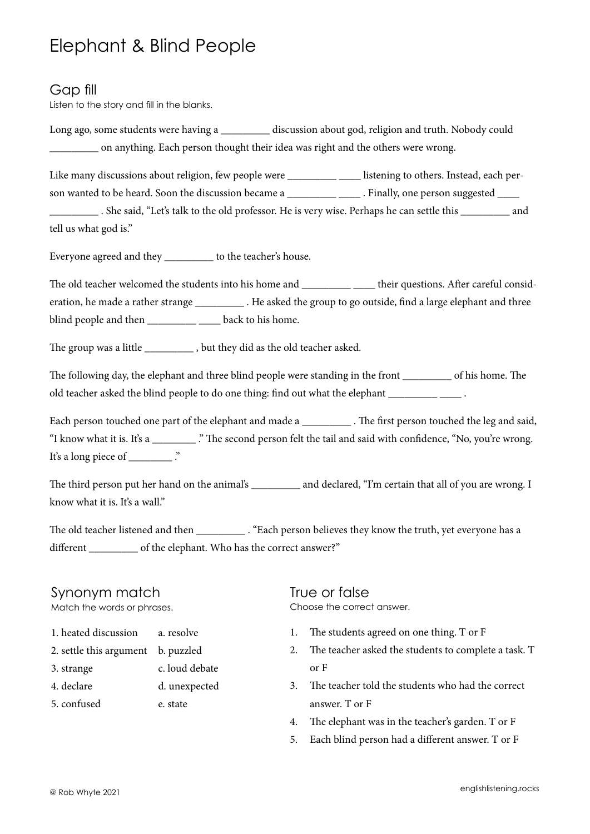# Elephant & Blind People

### Gap fill

Listen to the story and fill in the blanks.

Long ago, some students were having a \_\_\_\_\_\_\_\_\_ discussion about god, religion and truth. Nobody could \_\_\_\_\_\_\_\_\_ on anything. Each person thought their idea was right and the others were wrong.

Like many discussions about religion, few people were \_\_\_\_\_\_\_\_\_ \_\_\_\_\_ listening to others. Instead, each person wanted to be heard. Soon the discussion became a \_\_\_\_\_\_\_\_\_\_\_\_\_\_\_\_. Finally, one person suggested \_\_\_\_\_\_\_\_\_

\_\_\_\_\_\_\_\_\_ . She said, "Let's talk to the old professor. He is very wise. Perhaps he can settle this \_\_\_\_\_\_\_\_\_ and tell us what god is."

Everyone agreed and they \_\_\_\_\_\_\_\_\_ to the teacher's house.

The old teacher welcomed the students into his home and \_\_\_\_\_\_\_\_\_\_ \_\_\_\_\_ their questions. After careful consideration, he made a rather strange \_\_\_\_\_\_\_\_\_ . He asked the group to go outside, find a large elephant and three blind people and then  $\_\_\_\_\_\_\_\_\_\$  back to his home.

The group was a little \_\_\_\_\_\_\_\_\_\_\_, but they did as the old teacher asked.

The following day, the elephant and three blind people were standing in the front \_\_\_\_\_\_\_\_\_ of his home. The old teacher asked the blind people to do one thing: find out what the elephant  $\blacksquare$ 

Each person touched one part of the elephant and made a \_\_\_\_\_\_\_\_\_\_\_. The first person touched the leg and said, "I know what it is. It's a \_\_\_\_\_\_\_\_ ." The second person felt the tail and said with confidence, "No, you're wrong. It's a long piece of \_\_\_\_\_\_\_\_\_\_\_ .

The third person put her hand on the animal's \_\_\_\_\_\_\_\_\_ and declared, "I'm certain that all of you are wrong. I know what it is. It's a wall."

The old teacher listened and then . "Each person believes they know the truth, yet everyone has a different of the elephant. Who has the correct answer?"

#### Synonym match

Match the words or phrases.

| 1. heated discussion               | a. resolve     |
|------------------------------------|----------------|
| 2. settle this argument b. puzzled |                |
| 3. strange                         | c. loud debate |
| 4. declare                         | d. unexpected  |

5. confused e. state

True or false

Choose the correct answer.

- 1. The students agreed on one thing. T or F
- 2. The teacher asked the students to complete a task. T or F
- 3. The teacher told the students who had the correct answer. T or F
- 4. The elephant was in the teacher's garden. T or F
- 5. Each blind person had a different answer. T or F